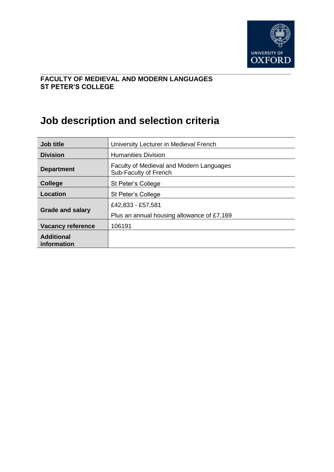

#### **\_\_\_\_\_\_\_\_\_\_\_\_\_\_\_\_\_\_\_\_\_\_\_\_\_\_\_\_\_\_\_\_\_\_\_\_\_\_\_\_\_\_\_\_\_\_\_\_\_\_\_\_\_\_\_\_\_\_\_\_\_\_\_\_\_\_\_\_\_\_\_\_\_ FACULTY OF MEDIEVAL AND MODERN LANGUAGES ST PETER'S COLLEGE**

# **Job description and selection criteria**

| <b>Job title</b>                 | University Lecturer in Medieval French                            |  |  |
|----------------------------------|-------------------------------------------------------------------|--|--|
| <b>Division</b>                  | <b>Humanities Division</b>                                        |  |  |
| <b>Department</b>                | Faculty of Medieval and Modern Languages<br>Sub-Faculty of French |  |  |
| <b>College</b>                   | St Peter's College                                                |  |  |
| Location                         | St Peter's College                                                |  |  |
|                                  | £42,833 - £57,581                                                 |  |  |
| <b>Grade and salary</b>          | Plus an annual housing allowance of £7,169                        |  |  |
| <b>Vacancy reference</b>         | 106191                                                            |  |  |
| <b>Additional</b><br>information |                                                                   |  |  |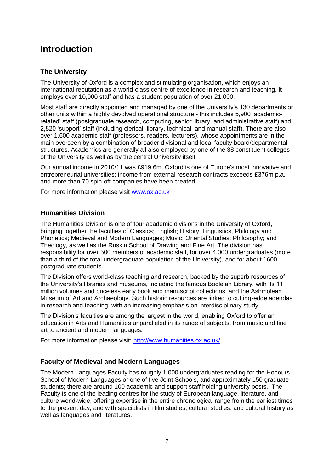# **Introduction**

### **The University**

The University of Oxford is a complex and stimulating organisation, which enjoys an international reputation as a world-class centre of excellence in research and teaching. It employs over 10,000 staff and has a student population of over 21,000.

Most staff are directly appointed and managed by one of the University's 130 departments or other units within a highly devolved operational structure - this includes 5,900 'academicrelated' staff (postgraduate research, computing, senior library, and administrative staff) and 2,820 'support' staff (including clerical, library, technical, and manual staff). There are also over 1,600 academic staff (professors, readers, lecturers), whose appointments are in the main overseen by a combination of broader divisional and local faculty board/departmental structures. Academics are generally all also employed by one of the 38 constituent colleges of the University as well as by the central University itself.

Our annual income in 2010/11 was £919.6m. Oxford is one of Europe's most innovative and entrepreneurial universities: income from external research contracts exceeds £376m p.a., and more than 70 spin-off companies have been created.

For more information please visit [www.ox.ac.uk](http://www.ox.ac.uk/)

#### **Humanities Division**

The Humanities Division is one of four academic divisions in the University of Oxford, bringing together the faculties of Classics; English; History; Linguistics, Philology and Phonetics; Medieval and Modern Languages; Music; Oriental Studies; Philosophy; and Theology, as well as the Ruskin School of Drawing and Fine Art. The division has responsibility for over 500 members of academic staff, for over 4,000 undergraduates (more than a third of the total undergraduate population of the University), and for about 1600 postgraduate students.

The Division offers world-class teaching and research, backed by the superb resources of the University's libraries and museums, including the famous Bodleian Library, with its 11 million volumes and priceless early book and manuscript collections, and the Ashmolean Museum of Art and Archaeology. Such historic resources are linked to cutting-edge agendas in research and teaching, with an increasing emphasis on interdisciplinary study.

The Division's faculties are among the largest in the world, enabling Oxford to offer an education in Arts and Humanities unparalleled in its range of subjects, from music and fine art to ancient and modern languages.

For more information please visit:<http://www.humanities.ox.ac.uk/>

#### **Faculty of Medieval and Modern Languages**

The Modern Languages Faculty has roughly 1,000 undergraduates reading for the Honours School of Modern Languages or one of five Joint Schools, and approximately 150 graduate students; there are around 100 academic and support staff holding university posts. The Faculty is one of the leading centres for the study of European language, literature, and culture world-wide, offering expertise in the entire chronological range from the earliest times to the present day, and with specialists in film studies, cultural studies, and cultural history as well as languages and literatures.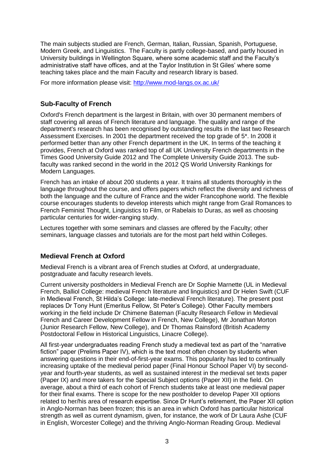The main subjects studied are French, German, Italian, Russian, Spanish, Portuguese, Modern Greek, and Linguistics. The Faculty is partly college-based, and partly housed in University buildings in Wellington Square, where some academic staff and the Faculty's administrative staff have offices, and at the Taylor Institution in St Giles' where some teaching takes place and the main Faculty and research library is based.

For more information please visit:<http://www.mod-langs.ox.ac.uk/>

### **Sub-Faculty of French**

Oxford's French department is the largest in Britain, with over 30 permanent members of staff covering all areas of French literature and language. The quality and range of the department's research has been recognised by outstanding results in the last two Research Assessment Exercises. In 2001 the department received the top grade of 5\*. In 2008 it performed better than any other French department in the UK. In terms of the teaching it provides, French at Oxford was ranked top of all UK University French departments in the Times Good University Guide 2012 and The Complete University Guide 2013. The subfaculty was ranked second in the world in the 2012 QS World University Rankings for Modern Languages.

French has an intake of about 200 students a year. It trains all students thoroughly in the language throughout the course, and offers papers which reflect the diversity and richness of both the language and the culture of France and the wider Francophone world. The flexible course encourages students to develop interests which might range from Grail Romances to French Feminist Thought, Linguistics to Film, or Rabelais to Duras, as well as choosing particular centuries for wider-ranging study.

Lectures together with some seminars and classes are offered by the Faculty; other seminars, language classes and tutorials are for the most part held within Colleges.

### **Medieval French at Oxford**

Medieval French is a vibrant area of French studies at Oxford, at undergraduate, postgraduate and faculty research levels.

Current university postholders in Medieval French are Dr Sophie Marnette (UL in Medieval French, Balliol College: medieval French literature and linguistics) and Dr Helen Swift (CUF in Medieval French, St Hilda's College: late-medieval French literature). The present post replaces Dr Tony Hunt (Emeritus Fellow, St Peter's College). Other Faculty members working in the field include Dr Chimene Bateman (Faculty Research Fellow in Medieval French and Career Development Fellow in French, New College), Mr Jonathan Morton (Junior Research Fellow, New College), and Dr Thomas Rainsford (British Academy Postdoctoral Fellow in Historical Linguistics, Linacre College).

All first-year undergraduates reading French study a medieval text as part of the "narrative fiction" paper (Prelims Paper IV), which is the text most often chosen by students when answering questions in their end-of-first-year exams. This popularity has led to continually increasing uptake of the medieval period paper (Final Honour School Paper VI) by secondyear and fourth-year students, as well as sustained interest in the medieval set texts paper (Paper IX) and more takers for the Special Subject options (Paper XII) in the field. On average, about a third of each cohort of French students take at least one medieval paper for their final exams. There is scope for the new postholder to develop Paper XII options related to her/his area of research expertise. Since Dr Hunt's retirement, the Paper XII option in Anglo-Norman has been frozen; this is an area in which Oxford has particular historical strength as well as current dynamism, given, for instance, the work of Dr Laura Ashe (CUF in English, Worcester College) and the thriving Anglo-Norman Reading Group. Medieval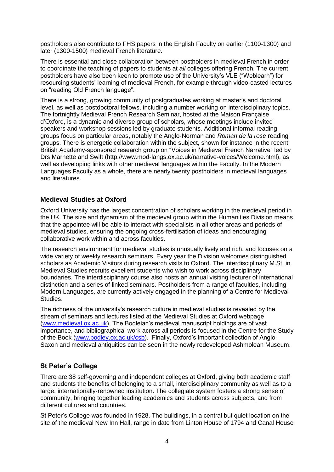postholders also contribute to FHS papers in the English Faculty on earlier (1100-1300) and later (1300-1500) medieval French literature.

There is essential and close collaboration between postholders in medieval French in order to coordinate the teaching of papers to students at *all* colleges offering French. The current postholders have also been keen to promote use of the University's VLE ("Weblearn") for resourcing students' learning of medieval French, for example through video-casted lectures on "reading Old French language".

There is a strong, growing community of postgraduates working at master's and doctoral level, as well as postdoctoral fellows, including a number working on interdisciplinary topics. The fortnightly Medieval French Research Seminar, hosted at the Maison Française d'Oxford, is a dynamic and diverse group of scholars, whose meetings include invited speakers and workshop sessions led by graduate students. Additional informal reading groups focus on particular areas, notably the Anglo-Norman and *Roman de la rose* reading groups. There is energetic collaboration within the subject, shown for instance in the recent British Academy-sponsored research group on "Voices in Medieval French Narrative" led by Drs Marnette and Swift (http://www.mod-langs.ox.ac.uk/narrative-voices/Welcome.html), as well as developing links with other medieval languages within the Faculty. In the Modern Languages Faculty as a whole, there are nearly twenty postholders in medieval languages and literatures.

#### **Medieval Studies at Oxford**

Oxford University has the largest concentration of scholars working in the medieval period in the UK. The size and dynamism of the medieval group within the Humanities Division means that the appointee will be able to interact with specialists in all other areas and periods of medieval studies, ensuring the ongoing cross-fertilisation of ideas and encouraging collaborative work within and across faculties.

The research environment for medieval studies is unusually lively and rich, and focuses on a wide variety of weekly research seminars. Every year the Division welcomes distinguished scholars as Academic Visitors during research visits to Oxford. The interdisciplinary M.St. in Medieval Studies recruits excellent students who wish to work across disciplinary boundaries. The interdisciplinary course also hosts an annual visiting lecturer of international distinction and a series of linked seminars. Postholders from a range of faculties, including Modern Languages, are currently actively engaged in the planning of a Centre for Medieval Studies.

The richness of the university's research culture in medieval studies is revealed by the stream of seminars and lectures listed at the Medieval Studies at Oxford webpage [\(www.medieval.ox.ac.uk\)](http://www.medieval.ox.ac.uk/). The Bodleian's medieval manuscript holdings are of vast importance, and bibliographical work across all periods is focused in the Centre for the Study of the Book [\(www.bodley.ox.ac.uk/csb\)](http://www.bodley.ox.ac.uk/csb). Finally, Oxford's important collection of Anglo-Saxon and medieval antiquities can be seen in the newly redeveloped Ashmolean Museum.

#### **St Peter's College**

There are 38 self-governing and independent colleges at Oxford, giving both academic staff and students the benefits of belonging to a small, interdisciplinary community as well as to a large, internationally-renowned institution. The collegiate system fosters a strong sense of community, bringing together leading academics and students across subjects, and from different cultures and countries.

St Peter's College was founded in 1928. The buildings, in a central but quiet location on the site of the medieval New Inn Hall, range in date from Linton House of 1794 and Canal House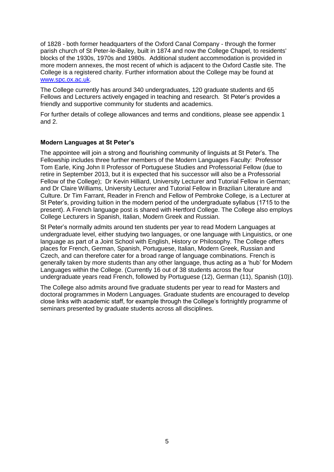of 1828 - both former headquarters of the Oxford Canal Company - through the former parish church of St Peter-le-Bailey, built in 1874 and now the College Chapel, to residents' blocks of the 1930s, 1970s and 1980s. Additional student accommodation is provided in more modern annexes, the most recent of which is adjacent to the Oxford Castle site. The College is a registered charity. Further information about the College may be found at [www.spc.ox.ac.uk.](http://www.spc.ox.ac.uk/)

The College currently has around 340 undergraduates, 120 graduate students and 65 Fellows and Lecturers actively engaged in teaching and research. St Peter's provides a friendly and supportive community for students and academics.

For further details of college allowances and terms and conditions, please see appendix 1 and 2.

#### **Modern Languages at St Peter's**

The appointee will join a strong and flourishing community of linguists at St Peter's. The Fellowship includes three further members of the Modern Languages Faculty: Professor Tom Earle, King John II Professor of Portuguese Studies and Professorial Fellow (due to retire in September 2013, but it is expected that his successor will also be a Professorial Fellow of the College); Dr Kevin Hilliard, University Lecturer and Tutorial Fellow in German; and Dr Claire Williams, University Lecturer and Tutorial Fellow in Brazilian Literature and Culture. Dr Tim Farrant, Reader in French and Fellow of Pembroke College, is a Lecturer at St Peter's, providing tuition in the modern period of the undergraduate syllabus (1715 to the present). A French language post is shared with Hertford College. The College also employs College Lecturers in Spanish, Italian, Modern Greek and Russian.

St Peter's normally admits around ten students per year to read Modern Languages at undergraduate level, either studying two languages, or one language with Linguistics, or one language as part of a Joint School with English, History or Philosophy. The College offers places for French, German, Spanish, Portuguese, Italian, Modern Greek, Russian and Czech, and can therefore cater for a broad range of language combinations. French is generally taken by more students than any other language, thus acting as a 'hub' for Modern Languages within the College. (Currently 16 out of 38 students across the four undergraduate years read French, followed by Portuguese (12), German (11), Spanish (10)).

The College also admits around five graduate students per year to read for Masters and doctoral programmes in Modern Languages. Graduate students are encouraged to develop close links with academic staff, for example through the College's fortnightly programme of seminars presented by graduate students across all disciplines.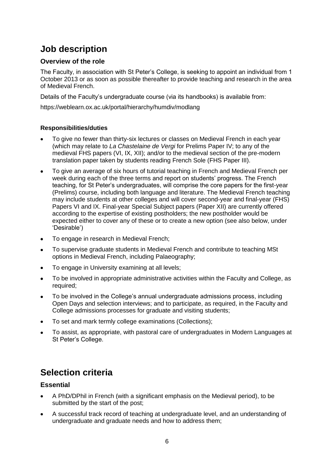# **Job description**

### **Overview of the role**

The Faculty, in association with St Peter's College, is seeking to appoint an individual from 1 October 2013 or as soon as possible thereafter to provide teaching and research in the area of Medieval French.

Details of the Faculty's undergraduate course (via its handbooks) is available from:

https://weblearn.ox.ac.uk/portal/hierarchy/humdiv/modlang

#### **Responsibilities/duties**

- To give no fewer than thirty-six lectures or classes on Medieval French in each year (which may relate to *La Chastelaine de Vergi* for Prelims Paper IV; to any of the medieval FHS papers (VI, IX, XII); and/or to the medieval section of the pre-modern translation paper taken by students reading French Sole (FHS Paper III).
- To give an average of six hours of tutorial teaching in French and Medieval French per week during each of the three terms and report on students' progress. The French teaching, for St Peter's undergraduates, will comprise the core papers for the first-year (Prelims) course, including both language and literature. The Medieval French teaching may include students at other colleges and will cover second-year and final-year (FHS) Papers VI and IX. Final-year Special Subject papers (Paper XII) are currently offered according to the expertise of existing postholders; the new postholder would be expected either to cover any of these or to create a new option (see also below, under 'Desirable')
- To engage in research in Medieval French;
- To supervise graduate students in Medieval French and contribute to teaching MSt  $\bullet$ options in Medieval French, including Palaeography;
- To engage in University examining at all levels;  $\bullet$
- To be involved in appropriate administrative activities within the Faculty and College, as required;
- To be involved in the College's annual undergraduate admissions process, including Open Days and selection interviews; and to participate, as required, in the Faculty and College admissions processes for graduate and visiting students;
- To set and mark termly college examinations (Collections);
- To assist, as appropriate, with pastoral care of undergraduates in Modern Languages at  $\bullet$ St Peter's College.

# **Selection criteria**

#### **Essential**

- A PhD/DPhil in French (with a significant emphasis on the Medieval period), to be submitted by the start of the post;
- A successful track record of teaching at undergraduate level, and an understanding of undergraduate and graduate needs and how to address them;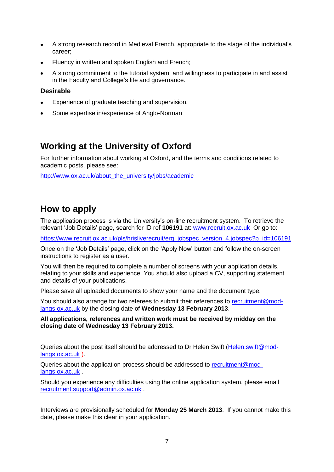- A strong research record in Medieval French, appropriate to the stage of the individual's  $\bullet$ career;
- Fluency in written and spoken English and French;
- A strong commitment to the tutorial system, and willingness to participate in and assist in the Faculty and College's life and governance.

#### **Desirable**

- Experience of graduate teaching and supervision.
- Some expertise in/experience of Anglo-Norman

# **Working at the University of Oxford**

For further information about working at Oxford, and the terms and conditions related to academic posts, please see:

[http://www.ox.ac.uk/about\\_the\\_university/jobs/academic](http://www.ox.ac.uk/about_the_university/jobs/academic)

# **How to apply**

The application process is via the University's on-line recruitment system. To retrieve the relevant 'Job Details' page, search for ID ref **106191** at: [www.recruit.ox.ac.uk](http://www.recruit.ox.ac.uk/) Or go to:

[https://www.recruit.ox.ac.uk/pls/hrisliverecruit/erq\\_jobspec\\_version\\_4.jobspec?p\\_id=106191](https://www.recruit.ox.ac.uk/pls/hrisliverecruit/erq_jobspec_version_4.jobspec?p_id=106191)

Once on the 'Job Details' page, click on the 'Apply Now' button and follow the on-screen instructions to register as a user.

You will then be required to complete a number of screens with your application details, relating to your skills and experience. You should also upload a CV, supporting statement and details of your publications.

Please save all uploaded documents to show your name and the document type.

You should also arrange for two referees to submit their references to [recruitment@mod](mailto:recruitment@mod-langs.ox.ac.uk)[langs.ox.ac.uk](mailto:recruitment@mod-langs.ox.ac.uk) by the closing date of **Wednesday 13 February 2013**.

**All applications, references and written work must be received by midday on the closing date of Wednesday 13 February 2013.**

Queries about the post itself should be addressed to Dr Helen Swift [\(Helen.swift@mod](mailto:Helen.swift@mod-langs.ox.ac.uk)[langs.ox.ac.uk](mailto:Helen.swift@mod-langs.ox.ac.uk) ).

Queries about the application process should be addressed to [recruitment@mod](mailto:recruitment@mod-langs.ox.ac.uk)[langs.ox.ac.uk](mailto:recruitment@mod-langs.ox.ac.uk) .

Should you experience any difficulties using the online application system, please email [recruitment.support@admin.ox.ac.uk](mailto:recruitment.support@admin.ox.ac.uk) .

Interviews are provisionally scheduled for **Monday 25 March 2013**. If you cannot make this date, please make this clear in your application.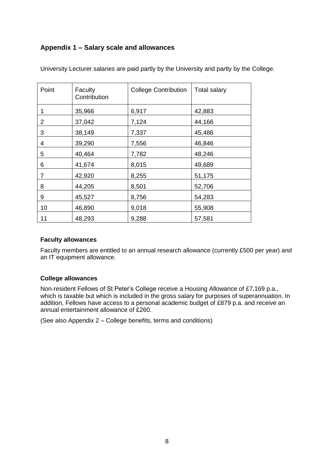### **Appendix 1 – Salary scale and allowances**

| Point | Faculty<br>Contribution | <b>College Contribution</b> | <b>Total salary</b> |
|-------|-------------------------|-----------------------------|---------------------|
| 1     | 35,966                  | 6,917                       | 42,883              |
| 2     | 37,042                  | 7,124                       | 44,166              |
| 3     | 38,149                  | 7,337                       | 45,486              |
| 4     | 39,290                  | 7,556                       | 46,846              |
| 5     | 40,464                  | 7,782                       | 48,246              |
| 6     | 41,674                  | 8,015                       | 49,689              |
| 7     | 42,920                  | 8,255                       | 51,175              |
| 8     | 44,205                  | 8,501                       | 52,706              |
| 9     | 45,527                  | 8,756                       | 54,283              |
| 10    | 46,890                  | 9,018                       | 55,908              |
| 11    | 48,293                  | 9,288                       | 57,581              |

University Lecturer salaries are paid partly by the University and partly by the College.

#### **Faculty allowances**

Faculty members are entitled to an annual research allowance (currently £500 per year) and an IT equipment allowance.

#### **College allowances**

Non-resident Fellows of St Peter's College receive a Housing Allowance of £7,169 p.a., which is taxable but which is included in the gross salary for purposes of superannuation. In addition, Fellows have access to a personal academic budget of £879 p.a. and receive an annual entertainment allowance of £260.

(See also Appendix 2 – College benefits, terms and conditions)